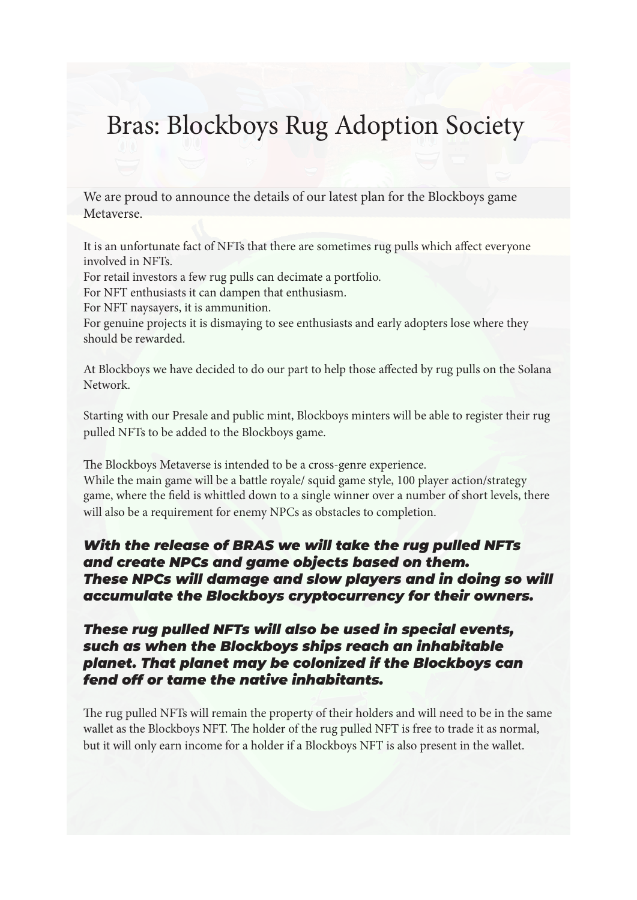# Bras: Blockboys Rug Adoption Society

We are proud to announce the details of our latest plan for the Blockboys game Metaverse.

It is an unfortunate fact of NFTs that there are sometimes rug pulls which affect everyone involved in NFTs.

For retail investors a few rug pulls can decimate a portfolio.

For NFT enthusiasts it can dampen that enthusiasm.

For NFT naysayers, it is ammunition.

For genuine projects it is dismaying to see enthusiasts and early adopters lose where they should be rewarded.

At Blockboys we have decided to do our part to help those affected by rug pulls on the Solana Network.

Starting with our Presale and public mint, Blockboys minters will be able to register their rug pulled NFTs to be added to the Blockboys game.

The Blockboys Metaverse is intended to be a cross-genre experience. While the main game will be a battle royale/ squid game style, 100 player action/strategy game, where the field is whittled down to a single winner over a number of short levels, there will also be a requirement for enemy NPCs as obstacles to completion.

## *With the release of BRAS we will take the rug pulled NFTs and create NPCs and game objects based on them. These NPCs will damage and slow players and in doing so will accumulate the Blockboys cryptocurrency for their owners.*

## *These rug pulled NFTs will also be used in special events, such as when the Blockboys ships reach an inhabitable planet. That planet may be colonized if the Blockboys can fend off or tame the native inhabitants.*

The rug pulled NFTs will remain the property of their holders and will need to be in the same wallet as the Blockboys NFT. The holder of the rug pulled NFT is free to trade it as normal, but it will only earn income for a holder if a Blockboys NFT is also present in the wallet.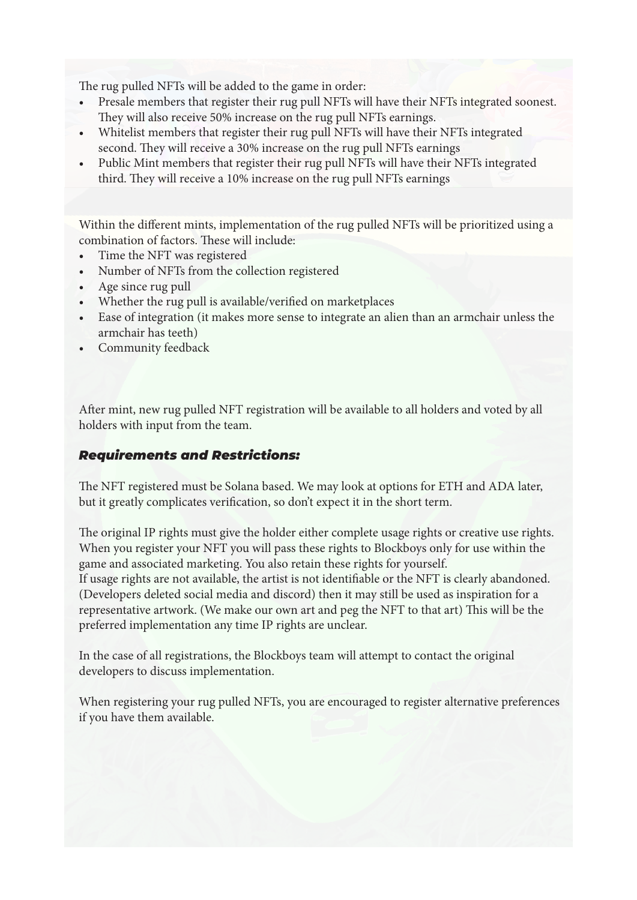The rug pulled NFTs will be added to the game in order:

- Presale members that register their rug pull NFTs will have their NFTs integrated soonest. They will also receive 50% increase on the rug pull NFTs earnings.
- Whitelist members that register their rug pull NFTs will have their NFTs integrated second. They will receive a 30% increase on the rug pull NFTs earnings
- Public Mint members that register their rug pull NFTs will have their NFTs integrated third. They will receive a 10% increase on the rug pull NFTs earnings

Within the different mints, implementation of the rug pulled NFTs will be prioritized using a combination of factors. These will include:

- Time the NFT was registered
- Number of NFTs from the collection registered
- Age since rug pull
- Whether the rug pull is available/verified on marketplaces
- Ease of integration (it makes more sense to integrate an alien than an armchair unless the armchair has teeth)
- Community feedback

After mint, new rug pulled NFT registration will be available to all holders and voted by all holders with input from the team.

## *Requirements and Restrictions:*

The NFT registered must be Solana based. We may look at options for ETH and ADA later, but it greatly complicates verification, so don't expect it in the short term.

The original IP rights must give the holder either complete usage rights or creative use rights. When you register your NFT you will pass these rights to Blockboys only for use within the game and associated marketing. You also retain these rights for yourself.

If usage rights are not available, the artist is not identifiable or the NFT is clearly abandoned. (Developers deleted social media and discord) then it may still be used as inspiration for a representative artwork. (We make our own art and peg the NFT to that art) This will be the preferred implementation any time IP rights are unclear.

In the case of all registrations, the Blockboys team will attempt to contact the original developers to discuss implementation.

When registering your rug pulled NFTs, you are encouraged to register alternative preferences if you have them available.